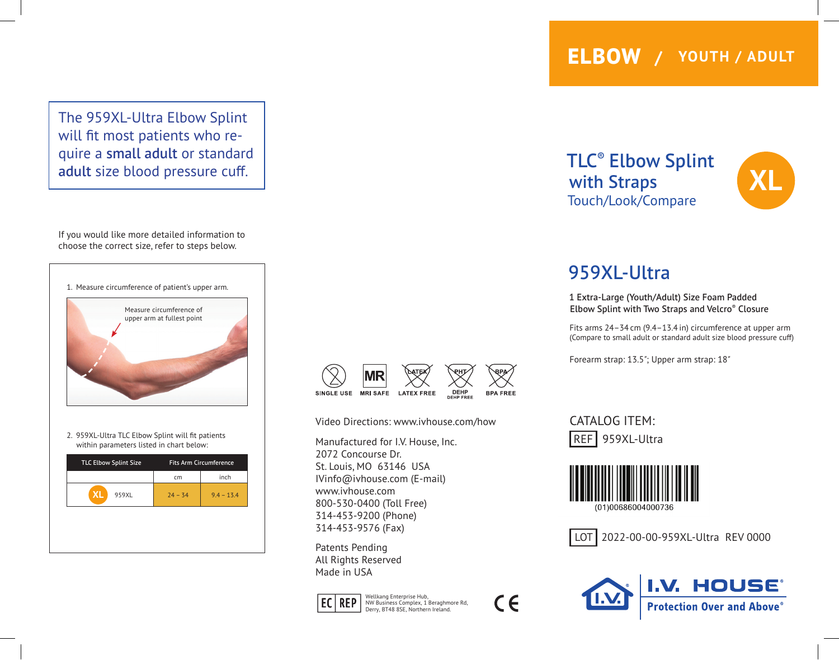The 959XL-Ultra Elbow Splint will fit most patients who require a small adult or standard adult size blood pressure cuff.

If you would like more detailed information to choose the correct size, refer to steps below.



2. 959XL-Ultra TLC Elbow Splint will fit patients within parameters listed in chart below:

| <b>TLC Elbow Splint Size</b> | <b>Fits Arm Circumference</b> |              |
|------------------------------|-------------------------------|--------------|
|                              | cm                            | inch         |
| <b>XL</b><br>959XL           | $24 - 34$                     | $9.4 - 13.4$ |
|                              |                               |              |
|                              |                               |              |
|                              |                               |              |



Video Directions: www.ivhouse.com/how

Manufactured for I.V. House, Inc. 2072 Concourse Dr. St. Louis, MO 63146 USA IVinfo@ivhouse.com (E-mail) www.ivhouse.com 800-530-0400 (Toll Free) 314-453-9200 (Phone) 314-453-9576 (Fax)

Patents Pending All Rights Reserved Made in USA



Wellkang Enterprise Hub,<br> **EC REP** NW Business Complex, 1 Beraghmore Rd, Derry, BT48 8SE, Northern Ireland.

$$
\epsilon
$$

TLC® Elbow Splint with Straps Touch/Look/Compare



## 959XL-Ultra

1 Extra-Large (Youth/Adult) Size Foam Padded Elbow Splint with Two Straps and Velcro® Closure

Fits arms 24–34 cm (9.4–13.4 in) circumference at upper arm (Compare to small adult or standard adult size blood pressure cuff)

Forearm strap: 13.5*"*; Upper arm strap: 18*"*

CATALOG ITEM: REF 959XL-Ultra



LOT | 2022-00-00-959XL-Ultra REV 0000